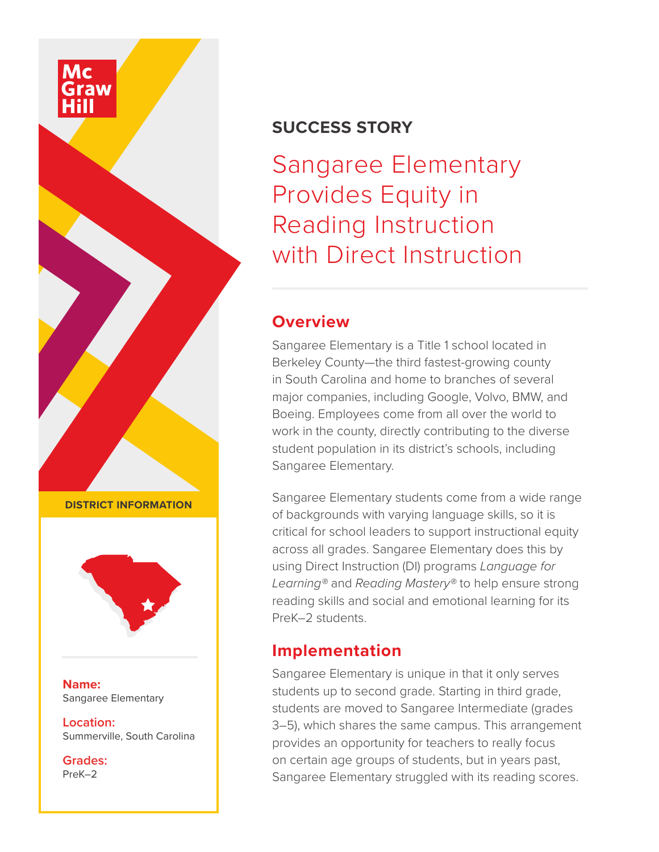## **SUCCESS STORY**

Sangaree Elementary Provides Equity in Reading Instruction with Direct Instruction

#### **Overview**

Sangaree Elementary is a Title 1 school located in Berkeley County—the third fastest-growing county in South Carolina and home to branches of several major companies, including Google, Volvo, BMW, and Boeing. Employees come from all over the world to work in the county, directly contributing to the diverse student population in its district's schools, including Sangaree Elementary.

Sangaree Elementary students come from a wide range of backgrounds with varying language skills, so it is critical for school leaders to support instructional equity across all grades. Sangaree Elementary does this by using Direct Instruction (DI) programs *Language for Learning®* and *Reading Mastery®* to help ensure strong reading skills and social and emotional learning for its PreK–2 students.

# **Implementation**

Sangaree Elementary is unique in that it only serves students up to second grade. Starting in third grade, students are moved to Sangaree Intermediate (grades 3–5), which shares the same campus. This arrangement provides an opportunity for teachers to really focus on certain age groups of students, but in years past, Sangaree Elementary struggled with its reading scores.

**DISTRICT INFORMATION**



**Name:** Sangaree Elementary

**Location:** Summerville, South Carolina

**Grades:** PreK–2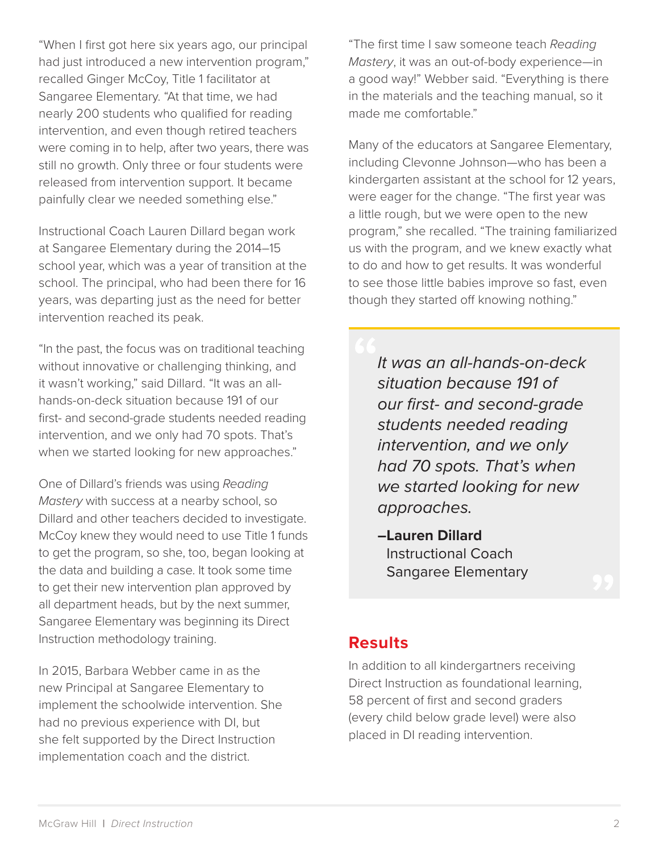"When I first got here six years ago, our principal had just introduced a new intervention program," recalled Ginger McCoy, Title 1 facilitator at Sangaree Elementary. "At that time, we had nearly 200 students who qualified for reading intervention, and even though retired teachers were coming in to help, after two years, there was still no growth. Only three or four students were released from intervention support. It became painfully clear we needed something else."

Instructional Coach Lauren Dillard began work at Sangaree Elementary during the 2014–15 school year, which was a year of transition at the school. The principal, who had been there for 16 years, was departing just as the need for better intervention reached its peak.

"In the past, the focus was on traditional teaching without innovative or challenging thinking, and it wasn't working," said Dillard. "It was an allhands-on-deck situation because 191 of our first- and second-grade students needed reading intervention, and we only had 70 spots. That's when we started looking for new approaches."

One of Dillard's friends was using *Reading Mastery* with success at a nearby school, so Dillard and other teachers decided to investigate. McCoy knew they would need to use Title 1 funds to get the program, so she, too, began looking at the data and building a case. It took some time to get their new intervention plan approved by all department heads, but by the next summer, Sangaree Elementary was beginning its Direct Instruction methodology training.

In 2015, Barbara Webber came in as the new Principal at Sangaree Elementary to implement the schoolwide intervention. She had no previous experience with DI, but she felt supported by the Direct Instruction implementation coach and the district.

"The first time I saw someone teach *Reading Mastery*, it was an out-of-body experience—in a good way!" Webber said. "Everything is there in the materials and the teaching manual, so it made me comfortable."

Many of the educators at Sangaree Elementary, including Clevonne Johnson—who has been a kindergarten assistant at the school for 12 years, were eager for the change. "The first year was a little rough, but we were open to the new program," she recalled. "The training familiarized us with the program, and we knew exactly what to do and how to get results. It was wonderful to see those little babies improve so fast, even though they started off knowing nothing."

> *It was an all-hands-on-deck situation because 191 of our first- and second-grade students needed reading intervention, and we only had 70 spots. That's when we started looking for new approaches.*

**–Lauren Dillard** Instructional Coach Sangaree Elementary

# **Results**

In addition to all kindergartners receiving Direct Instruction as foundational learning, 58 percent of first and second graders (every child below grade level) were also placed in DI reading intervention.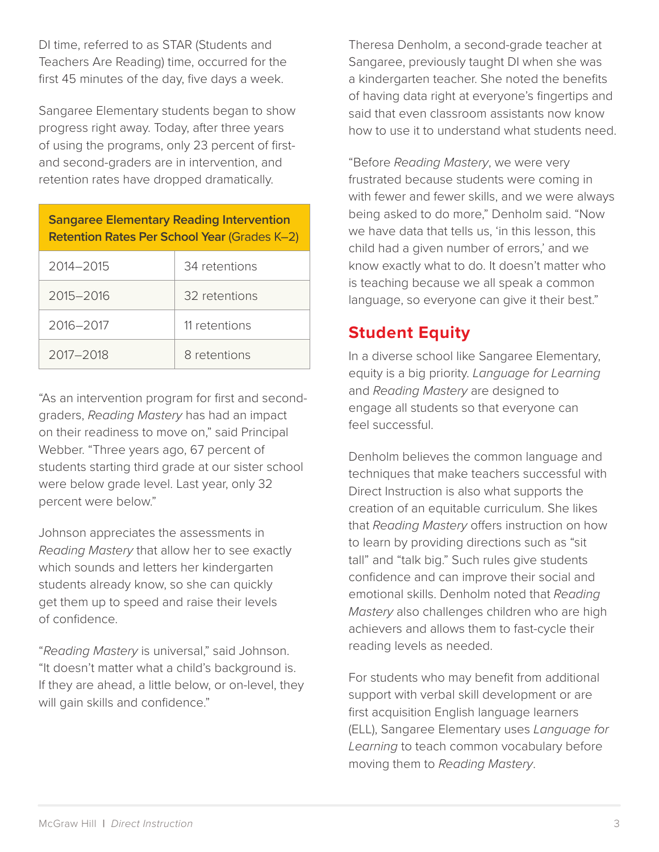DI time, referred to as STAR (Students and Teachers Are Reading) time, occurred for the first 45 minutes of the day, five days a week.

Sangaree Elementary students began to show progress right away. Today, after three years of using the programs, only 23 percent of firstand second-graders are in intervention, and retention rates have dropped dramatically.

| <b>Sangaree Elementary Reading Intervention</b><br><b>Retention Rates Per School Year (Grades K-2)</b> |               |
|--------------------------------------------------------------------------------------------------------|---------------|
| 2014-2015                                                                                              | 34 retentions |
| 2015-2016                                                                                              | 32 retentions |
| 2016-2017                                                                                              | 11 retentions |
| 2017-2018                                                                                              | 8 retentions  |

"As an intervention program for first and secondgraders, *Reading Mastery* has had an impact on their readiness to move on," said Principal Webber. "Three years ago, 67 percent of students starting third grade at our sister school were below grade level. Last year, only 32 percent were below."

Johnson appreciates the assessments in *Reading Mastery* that allow her to see exactly which sounds and letters her kindergarten students already know, so she can quickly get them up to speed and raise their levels of confidence.

"*Reading Mastery* is universal," said Johnson. "It doesn't matter what a child's background is. If they are ahead, a little below, or on-level, they will gain skills and confidence."

Theresa Denholm, a second-grade teacher at Sangaree, previously taught DI when she was a kindergarten teacher. She noted the benefits of having data right at everyone's fingertips and said that even classroom assistants now know how to use it to understand what students need.

"Before *Reading Mastery*, we were very frustrated because students were coming in with fewer and fewer skills, and we were always being asked to do more," Denholm said. "Now we have data that tells us, 'in this lesson, this child had a given number of errors,' and we know exactly what to do. It doesn't matter who is teaching because we all speak a common language, so everyone can give it their best."

# **Student Equity**

In a diverse school like Sangaree Elementary, equity is a big priority. *Language for Learning* and *Reading Mastery* are designed to engage all students so that everyone can feel successful.

Denholm believes the common language and techniques that make teachers successful with Direct Instruction is also what supports the creation of an equitable curriculum. She likes that *Reading Mastery* offers instruction on how to learn by providing directions such as "sit tall" and "talk big." Such rules give students confidence and can improve their social and emotional skills. Denholm noted that *Reading Mastery* also challenges children who are high achievers and allows them to fast-cycle their reading levels as needed.

For students who may benefit from additional support with verbal skill development or are first acquisition English language learners (ELL), Sangaree Elementary uses *Language for Learning* to teach common vocabulary before moving them to *Reading Mastery*.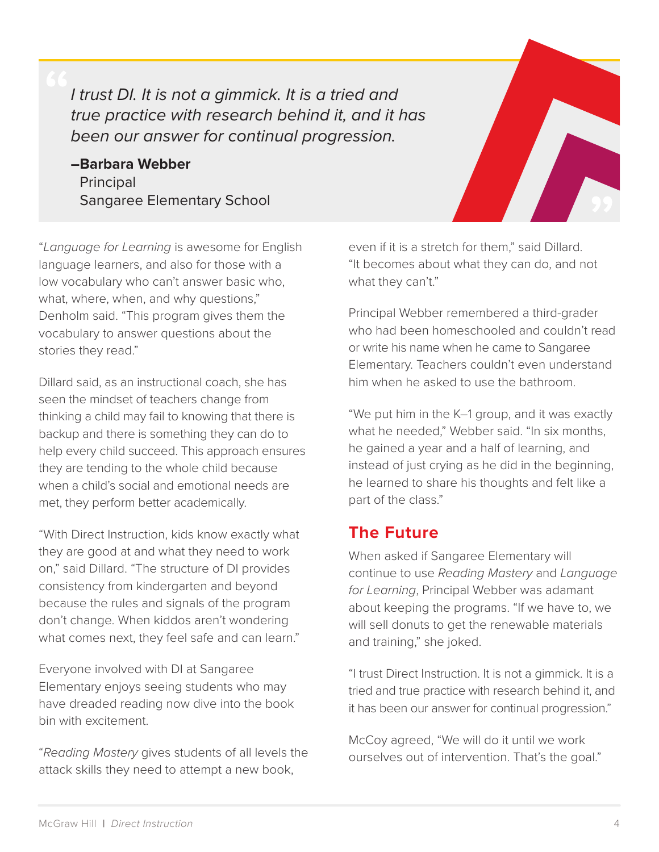*I trust DI. It is not a gimmick. It is a tried and true practice with research behind it, and it has been our answer for continual progression.*

**–Barbara Webber** Principal Sangaree Elementary School



"*Language for Learning* is awesome for English language learners, and also for those with a low vocabulary who can't answer basic who, what, where, when, and why questions," Denholm said. "This program gives them the vocabulary to answer questions about the stories they read."

Dillard said, as an instructional coach, she has seen the mindset of teachers change from thinking a child may fail to knowing that there is backup and there is something they can do to help every child succeed. This approach ensures they are tending to the whole child because when a child's social and emotional needs are met, they perform better academically.

"With Direct Instruction, kids know exactly what they are good at and what they need to work on," said Dillard. "The structure of DI provides consistency from kindergarten and beyond because the rules and signals of the program don't change. When kiddos aren't wondering what comes next, they feel safe and can learn."

Everyone involved with DI at Sangaree Elementary enjoys seeing students who may have dreaded reading now dive into the book bin with excitement.

"*Reading Mastery* gives students of all levels the attack skills they need to attempt a new book,

even if it is a stretch for them," said Dillard. "It becomes about what they can do, and not what they can't."

Principal Webber remembered a third-grader who had been homeschooled and couldn't read or write his name when he came to Sangaree Elementary. Teachers couldn't even understand him when he asked to use the bathroom.

"We put him in the K–1 group, and it was exactly what he needed," Webber said. "In six months, he gained a year and a half of learning, and instead of just crying as he did in the beginning, he learned to share his thoughts and felt like a part of the class."

#### **The Future**

When asked if Sangaree Elementary will continue to use *Reading Mastery* and *Language for Learning*, Principal Webber was adamant about keeping the programs. "If we have to, we will sell donuts to get the renewable materials and training," she joked.

"I trust Direct Instruction. It is not a gimmick. It is a tried and true practice with research behind it, and it has been our answer for continual progression."

McCoy agreed, "We will do it until we work ourselves out of intervention. That's the goal."